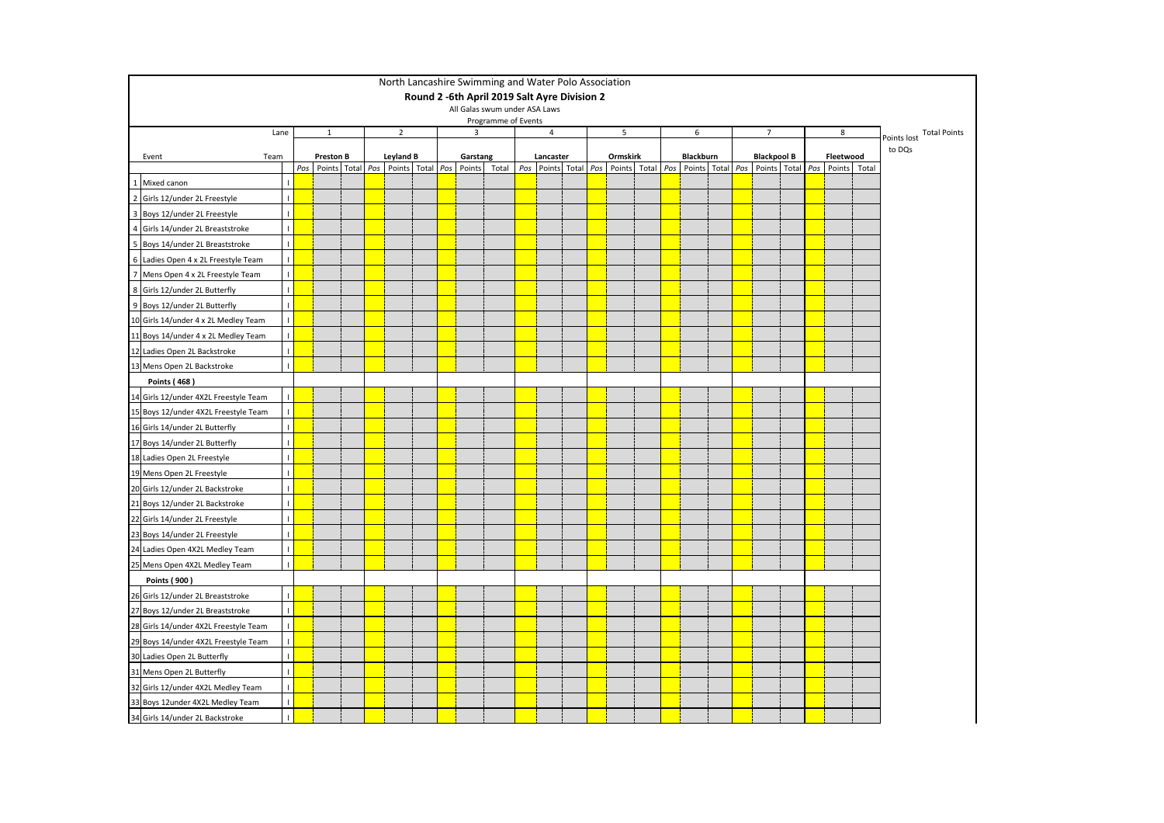|                                               |              |                                                           |  |                  |  |                    | North Lancashire Swimming and Water Polo Association |                                   |  |          |   |  |           |  |  |                    |  |                                                                                                |   |  |                          |
|-----------------------------------------------|--------------|-----------------------------------------------------------|--|------------------|--|--------------------|------------------------------------------------------|-----------------------------------|--|----------|---|--|-----------|--|--|--------------------|--|------------------------------------------------------------------------------------------------|---|--|--------------------------|
|                                               |              |                                                           |  |                  |  |                    | Round 2 -6th April 2019 Salt Ayre Division 2         |                                   |  |          |   |  |           |  |  |                    |  |                                                                                                |   |  |                          |
|                                               |              |                                                           |  |                  |  |                    | All Galas swum under ASA Laws<br>Programme of Events |                                   |  |          |   |  |           |  |  |                    |  |                                                                                                |   |  |                          |
|                                               | Lane         | $\mathbf{1}$                                              |  | $\overline{2}$   |  | 3                  |                                                      | 4                                 |  |          | 5 |  | 6         |  |  | $\overline{7}$     |  |                                                                                                | 8 |  | Points lost Total Points |
|                                               |              |                                                           |  |                  |  |                    |                                                      |                                   |  |          |   |  |           |  |  |                    |  |                                                                                                |   |  | to DQs                   |
| Event<br>Team                                 |              | <b>Preston B</b><br>Pos Points Total Pos Points Total Pos |  | <b>Leyland B</b> |  | Garstang<br>Points | Total                                                | Lancaster<br>Pos Points Total Pos |  | Ormskirk |   |  | Blackburn |  |  | <b>Blackpool B</b> |  | Fleetwood<br>Points Total   Pos   Points   Total   Pos   Points   Total   Pos   Points   Total |   |  |                          |
| 1 Mixed canon                                 |              |                                                           |  |                  |  |                    |                                                      |                                   |  |          |   |  |           |  |  |                    |  |                                                                                                |   |  |                          |
| $\overline{2}$<br>Girls 12/under 2L Freestyle | $\mathbf{I}$ |                                                           |  |                  |  |                    |                                                      |                                   |  |          |   |  |           |  |  |                    |  |                                                                                                |   |  |                          |
| 3 Boys 12/under 2L Freestyle                  | $\mathbf{I}$ |                                                           |  |                  |  |                    |                                                      |                                   |  |          |   |  |           |  |  |                    |  |                                                                                                |   |  |                          |
| 4 Girls 14/under 2L Breaststroke              |              |                                                           |  |                  |  |                    |                                                      |                                   |  |          |   |  |           |  |  |                    |  |                                                                                                |   |  |                          |
| 5 Boys 14/under 2L Breaststroke               | $\mathbf{I}$ |                                                           |  |                  |  |                    |                                                      |                                   |  |          |   |  |           |  |  |                    |  |                                                                                                |   |  |                          |
| 6 Ladies Open 4 x 2L Freestyle Team           | $\mathbf{I}$ |                                                           |  |                  |  |                    |                                                      |                                   |  |          |   |  |           |  |  |                    |  |                                                                                                |   |  |                          |
| 7 Mens Open 4 x 2L Freestyle Team             | $\mathbf{I}$ |                                                           |  |                  |  |                    |                                                      |                                   |  |          |   |  |           |  |  |                    |  |                                                                                                |   |  |                          |
| 8 Girls 12/under 2L Butterfly                 | $\mathbf{L}$ |                                                           |  |                  |  |                    |                                                      |                                   |  |          |   |  |           |  |  |                    |  |                                                                                                |   |  |                          |
| 9 Boys 12/under 2L Butterfly                  |              |                                                           |  |                  |  |                    |                                                      |                                   |  |          |   |  |           |  |  |                    |  |                                                                                                |   |  |                          |
| 10 Girls 14/under 4 x 2L Medley Team          |              |                                                           |  |                  |  |                    |                                                      |                                   |  |          |   |  |           |  |  |                    |  |                                                                                                |   |  |                          |
| 11 Boys 14/under 4 x 2L Medley Team           |              |                                                           |  |                  |  |                    |                                                      |                                   |  |          |   |  |           |  |  |                    |  |                                                                                                |   |  |                          |
| 12 Ladies Open 2L Backstroke                  |              |                                                           |  |                  |  |                    |                                                      |                                   |  |          |   |  |           |  |  |                    |  |                                                                                                |   |  |                          |
| 13 Mens Open 2L Backstroke                    |              |                                                           |  |                  |  |                    |                                                      |                                   |  |          |   |  |           |  |  |                    |  |                                                                                                |   |  |                          |
| <b>Points (468)</b>                           |              |                                                           |  |                  |  |                    |                                                      |                                   |  |          |   |  |           |  |  |                    |  |                                                                                                |   |  |                          |
| 14 Girls 12/under 4X2L Freestyle Team         |              |                                                           |  |                  |  |                    |                                                      |                                   |  |          |   |  |           |  |  |                    |  |                                                                                                |   |  |                          |
| 15 Boys 12/under 4X2L Freestyle Team          |              |                                                           |  |                  |  |                    |                                                      |                                   |  |          |   |  |           |  |  |                    |  |                                                                                                |   |  |                          |
| 16 Girls 14/under 2L Butterfly                |              |                                                           |  |                  |  |                    |                                                      |                                   |  |          |   |  |           |  |  |                    |  |                                                                                                |   |  |                          |
| 17 Boys 14/under 2L Butterfly                 |              |                                                           |  |                  |  |                    |                                                      |                                   |  |          |   |  |           |  |  |                    |  |                                                                                                |   |  |                          |
| 18 Ladies Open 2L Freestyle                   | $\mathbf{I}$ |                                                           |  |                  |  |                    |                                                      |                                   |  |          |   |  |           |  |  |                    |  |                                                                                                |   |  |                          |
| 19 Mens Open 2L Freestyle                     |              |                                                           |  |                  |  |                    |                                                      |                                   |  |          |   |  |           |  |  |                    |  |                                                                                                |   |  |                          |
| 20 Girls 12/under 2L Backstroke               | $\mathbf{I}$ |                                                           |  |                  |  |                    |                                                      |                                   |  |          |   |  |           |  |  |                    |  |                                                                                                |   |  |                          |
| 21 Boys 12/under 2L Backstroke                |              |                                                           |  |                  |  |                    |                                                      |                                   |  |          |   |  |           |  |  |                    |  |                                                                                                |   |  |                          |
| 22 Girls 14/under 2L Freestyle                | $\mathbf{I}$ |                                                           |  |                  |  |                    |                                                      |                                   |  |          |   |  |           |  |  |                    |  |                                                                                                |   |  |                          |
| 23 Boys 14/under 2L Freestyle                 |              |                                                           |  |                  |  |                    |                                                      |                                   |  |          |   |  |           |  |  |                    |  |                                                                                                |   |  |                          |
| 24 Ladies Open 4X2L Medley Team               | $\mathbf{I}$ |                                                           |  |                  |  |                    |                                                      |                                   |  |          |   |  |           |  |  |                    |  |                                                                                                |   |  |                          |
| 25 Mens Open 4X2L Medley Team                 |              |                                                           |  |                  |  |                    |                                                      |                                   |  |          |   |  |           |  |  |                    |  |                                                                                                |   |  |                          |
| Points (900)                                  |              |                                                           |  |                  |  |                    |                                                      |                                   |  |          |   |  |           |  |  |                    |  |                                                                                                |   |  |                          |
| 26 Girls 12/under 2L Breaststroke             |              |                                                           |  |                  |  |                    |                                                      |                                   |  |          |   |  |           |  |  |                    |  |                                                                                                |   |  |                          |
| 27 Boys 12/under 2L Breaststroke              | $\mathbf{I}$ |                                                           |  |                  |  |                    |                                                      |                                   |  |          |   |  |           |  |  |                    |  |                                                                                                |   |  |                          |
| 28 Girls 14/under 4X2L Freestyle Team         |              |                                                           |  |                  |  |                    |                                                      |                                   |  |          |   |  |           |  |  |                    |  |                                                                                                |   |  |                          |
| 29 Boys 14/under 4X2L Freestyle Team          |              |                                                           |  |                  |  |                    |                                                      |                                   |  |          |   |  |           |  |  |                    |  |                                                                                                |   |  |                          |
| 30 Ladies Open 2L Butterfly                   |              |                                                           |  |                  |  |                    |                                                      |                                   |  |          |   |  |           |  |  |                    |  |                                                                                                |   |  |                          |
| 31 Mens Open 2L Butterfly                     |              |                                                           |  |                  |  |                    |                                                      |                                   |  |          |   |  |           |  |  |                    |  |                                                                                                |   |  |                          |
| 32 Girls 12/under 4X2L Medley Team            |              |                                                           |  |                  |  |                    |                                                      |                                   |  |          |   |  |           |  |  |                    |  |                                                                                                |   |  |                          |
| 33 Boys 12under 4X2L Medley Team              | $\mathbf{I}$ |                                                           |  |                  |  |                    |                                                      |                                   |  |          |   |  |           |  |  |                    |  |                                                                                                |   |  |                          |
| 34 Girls 14/under 2L Backstroke               |              |                                                           |  |                  |  |                    |                                                      |                                   |  |          |   |  |           |  |  |                    |  |                                                                                                |   |  |                          |